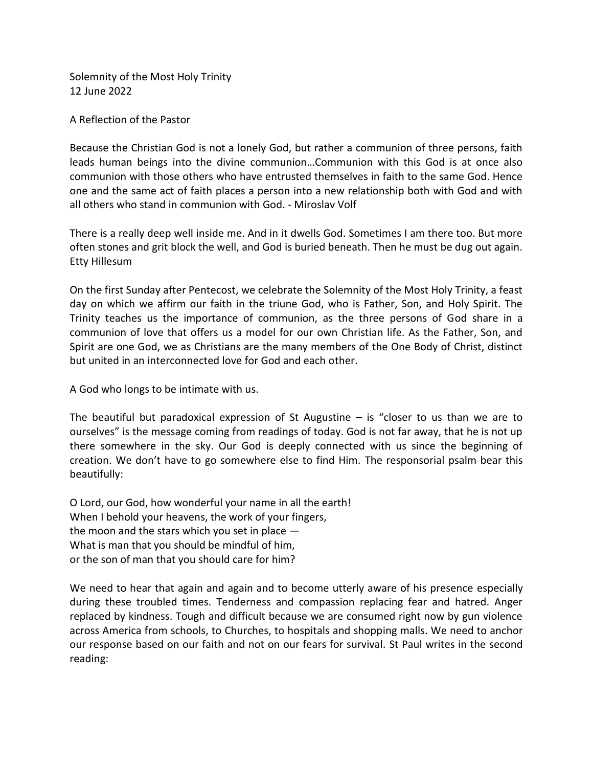Solemnity of the Most Holy Trinity 12 June 2022

A Reflection of the Pastor

Because the Christian God is not a lonely God, but rather a communion of three persons, faith leads human beings into the divine communion…Communion with this God is at once also communion with those others who have entrusted themselves in faith to the same God. Hence one and the same act of faith places a person into a new relationship both with God and with all others who stand in communion with God. - Miroslav Volf

There is a really deep well inside me. And in it dwells God. Sometimes I am there too. But more often stones and grit block the well, and God is buried beneath. Then he must be dug out again. Etty Hillesum

On the first Sunday after Pentecost, we celebrate the Solemnity of the Most Holy Trinity, a feast day on which we affirm our faith in the triune God, who is Father, Son, and Holy Spirit. The Trinity teaches us the importance of communion, as the three persons of God share in a communion of love that offers us a model for our own Christian life. As the Father, Son, and Spirit are one God, we as Christians are the many members of the One Body of Christ, distinct but united in an interconnected love for God and each other.

A God who longs to be intimate with us.

The beautiful but paradoxical expression of St Augustine  $-$  is "closer to us than we are to ourselves" is the message coming from readings of today. God is not far away, that he is not up there somewhere in the sky. Our God is deeply connected with us since the beginning of creation. We don't have to go somewhere else to find Him. The responsorial psalm bear this beautifully:

O Lord, our God, how wonderful your name in all the earth! When I behold your heavens, the work of your fingers, the moon and the stars which you set in place — What is man that you should be mindful of him, or the son of man that you should care for him?

We need to hear that again and again and to become utterly aware of his presence especially during these troubled times. Tenderness and compassion replacing fear and hatred. Anger replaced by kindness. Tough and difficult because we are consumed right now by gun violence across America from schools, to Churches, to hospitals and shopping malls. We need to anchor our response based on our faith and not on our fears for survival. St Paul writes in the second reading: